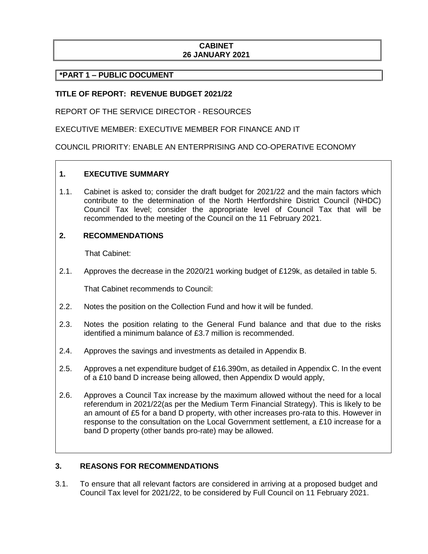# **CABINET 26 JANUARY 2021**

# **\*PART 1 – PUBLIC DOCUMENT**

# **TITLE OF REPORT: REVENUE BUDGET 2021/22**

REPORT OF THE SERVICE DIRECTOR - RESOURCES

EXECUTIVE MEMBER: EXECUTIVE MEMBER FOR FINANCE AND IT

COUNCIL PRIORITY: ENABLE AN ENTERPRISING AND CO-OPERATIVE ECONOMY

### **1. EXECUTIVE SUMMARY**

1.1. Cabinet is asked to; consider the draft budget for 2021/22 and the main factors which contribute to the determination of the North Hertfordshire District Council (NHDC) Council Tax level; consider the appropriate level of Council Tax that will be recommended to the meeting of the Council on the 11 February 2021.

### **2. RECOMMENDATIONS**

That Cabinet:

2.1. Approves the decrease in the 2020/21 working budget of £129k, as detailed in table 5.

That Cabinet recommends to Council:

- 2.2. Notes the position on the Collection Fund and how it will be funded.
- 2.3. Notes the position relating to the General Fund balance and that due to the risks identified a minimum balance of £3.7 million is recommended.
- 2.4. Approves the savings and investments as detailed in Appendix B.
- 2.5. Approves a net expenditure budget of £16.390m, as detailed in Appendix C. In the event of a £10 band D increase being allowed, then Appendix D would apply,
- 2.6. Approves a Council Tax increase by the maximum allowed without the need for a local referendum in 2021/22(as per the Medium Term Financial Strategy). This is likely to be an amount of £5 for a band D property, with other increases pro-rata to this. However in response to the consultation on the Local Government settlement, a £10 increase for a band D property (other bands pro-rate) may be allowed.

# **3. REASONS FOR RECOMMENDATIONS**

3.1. To ensure that all relevant factors are considered in arriving at a proposed budget and Council Tax level for 2021/22, to be considered by Full Council on 11 February 2021.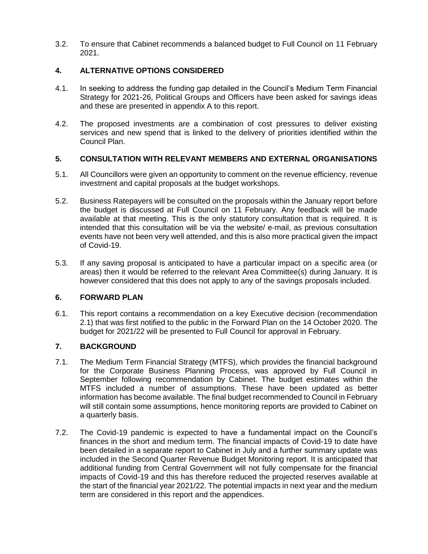3.2. To ensure that Cabinet recommends a balanced budget to Full Council on 11 February 2021.

# **4. ALTERNATIVE OPTIONS CONSIDERED**

- 4.1. In seeking to address the funding gap detailed in the Council's Medium Term Financial Strategy for 2021-26, Political Groups and Officers have been asked for savings ideas and these are presented in appendix A to this report.
- 4.2. The proposed investments are a combination of cost pressures to deliver existing services and new spend that is linked to the delivery of priorities identified within the Council Plan.

# **5. CONSULTATION WITH RELEVANT MEMBERS AND EXTERNAL ORGANISATIONS**

- 5.1. All Councillors were given an opportunity to comment on the revenue efficiency, revenue investment and capital proposals at the budget workshops.
- 5.2. Business Ratepayers will be consulted on the proposals within the January report before the budget is discussed at Full Council on 11 February. Any feedback will be made available at that meeting. This is the only statutory consultation that is required. It is intended that this consultation will be via the website/ e-mail, as previous consultation events have not been very well attended, and this is also more practical given the impact of Covid-19.
- 5.3. If any saving proposal is anticipated to have a particular impact on a specific area (or areas) then it would be referred to the relevant Area Committee(s) during January. It is however considered that this does not apply to any of the savings proposals included.

### **6. FORWARD PLAN**

6.1. This report contains a recommendation on a key Executive decision (recommendation 2.1) that was first notified to the public in the Forward Plan on the 14 October 2020. The budget for 2021/22 will be presented to Full Council for approval in February.

### **7. BACKGROUND**

- 7.1. The Medium Term Financial Strategy (MTFS), which provides the financial background for the Corporate Business Planning Process, was approved by Full Council in September following recommendation by Cabinet. The budget estimates within the MTFS included a number of assumptions. These have been updated as better information has become available. The final budget recommended to Council in February will still contain some assumptions, hence monitoring reports are provided to Cabinet on a quarterly basis.
- 7.2. The Covid-19 pandemic is expected to have a fundamental impact on the Council's finances in the short and medium term. The financial impacts of Covid-19 to date have been detailed in a separate report to Cabinet in July and a further summary update was included in the Second Quarter Revenue Budget Monitoring report. It is anticipated that additional funding from Central Government will not fully compensate for the financial impacts of Covid-19 and this has therefore reduced the projected reserves available at the start of the financial year 2021/22. The potential impacts in next year and the medium term are considered in this report and the appendices.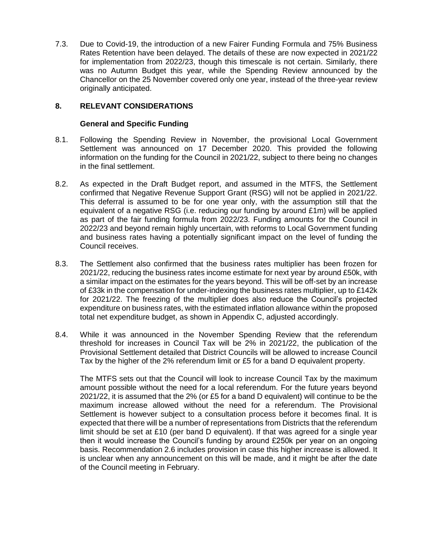7.3. Due to Covid-19, the introduction of a new Fairer Funding Formula and 75% Business Rates Retention have been delayed. The details of these are now expected in 2021/22 for implementation from 2022/23, though this timescale is not certain. Similarly, there was no Autumn Budget this year, while the Spending Review announced by the Chancellor on the 25 November covered only one year, instead of the three-year review originally anticipated.

### **8. RELEVANT CONSIDERATIONS**

### **General and Specific Funding**

- 8.1. Following the Spending Review in November, the provisional Local Government Settlement was announced on 17 December 2020. This provided the following information on the funding for the Council in 2021/22, subject to there being no changes in the final settlement.
- 8.2. As expected in the Draft Budget report, and assumed in the MTFS, the Settlement confirmed that Negative Revenue Support Grant (RSG) will not be applied in 2021/22. This deferral is assumed to be for one year only, with the assumption still that the equivalent of a negative RSG (i.e. reducing our funding by around £1m) will be applied as part of the fair funding formula from 2022/23. Funding amounts for the Council in 2022/23 and beyond remain highly uncertain, with reforms to Local Government funding and business rates having a potentially significant impact on the level of funding the Council receives.
- 8.3. The Settlement also confirmed that the business rates multiplier has been frozen for 2021/22, reducing the business rates income estimate for next year by around £50k, with a similar impact on the estimates for the years beyond. This will be off-set by an increase of £33k in the compensation for under-indexing the business rates multiplier, up to £142k for 2021/22. The freezing of the multiplier does also reduce the Council's projected expenditure on business rates, with the estimated inflation allowance within the proposed total net expenditure budget, as shown in Appendix C, adjusted accordingly.
- 8.4. While it was announced in the November Spending Review that the referendum threshold for increases in Council Tax will be 2% in 2021/22, the publication of the Provisional Settlement detailed that District Councils will be allowed to increase Council Tax by the higher of the 2% referendum limit or £5 for a band D equivalent property.

The MTFS sets out that the Council will look to increase Council Tax by the maximum amount possible without the need for a local referendum. For the future years beyond 2021/22, it is assumed that the 2% (or £5 for a band D equivalent) will continue to be the maximum increase allowed without the need for a referendum. The Provisional Settlement is however subject to a consultation process before it becomes final. It is expected that there will be a number of representations from Districts that the referendum limit should be set at  $£10$  (per band D equivalent). If that was agreed for a single year then it would increase the Council's funding by around £250k per year on an ongoing basis. Recommendation 2.6 includes provision in case this higher increase is allowed. It is unclear when any announcement on this will be made, and it might be after the date of the Council meeting in February.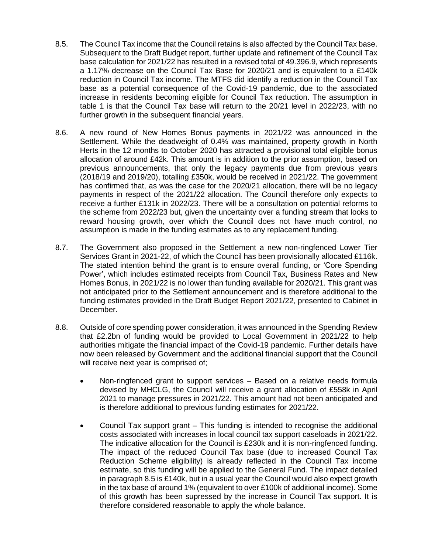- 8.5. The Council Tax income that the Council retains is also affected by the Council Tax base. Subsequent to the Draft Budget report, further update and refinement of the Council Tax base calculation for 2021/22 has resulted in a revised total of 49.396.9, which represents a 1.17% decrease on the Council Tax Base for 2020/21 and is equivalent to a £140k reduction in Council Tax income. The MTFS did identify a reduction in the Council Tax base as a potential consequence of the Covid-19 pandemic, due to the associated increase in residents becoming eligible for Council Tax reduction. The assumption in table 1 is that the Council Tax base will return to the 20/21 level in 2022/23, with no further growth in the subsequent financial years.
- 8.6. A new round of New Homes Bonus payments in 2021/22 was announced in the Settlement. While the deadweight of 0.4% was maintained, property growth in North Herts in the 12 months to October 2020 has attracted a provisional total eligible bonus allocation of around £42k. This amount is in addition to the prior assumption, based on previous announcements, that only the legacy payments due from previous years (2018/19 and 2019/20), totalling £350k, would be received in 2021/22. The government has confirmed that, as was the case for the 2020/21 allocation, there will be no legacy payments in respect of the 2021/22 allocation. The Council therefore only expects to receive a further £131k in 2022/23. There will be a consultation on potential reforms to the scheme from 2022/23 but, given the uncertainty over a funding stream that looks to reward housing growth, over which the Council does not have much control, no assumption is made in the funding estimates as to any replacement funding.
- 8.7. The Government also proposed in the Settlement a new non-ringfenced Lower Tier Services Grant in 2021-22, of which the Council has been provisionally allocated £116k. The stated intention behind the grant is to ensure overall funding, or 'Core Spending Power', which includes estimated receipts from Council Tax, Business Rates and New Homes Bonus, in 2021/22 is no lower than funding available for 2020/21. This grant was not anticipated prior to the Settlement announcement and is therefore additional to the funding estimates provided in the Draft Budget Report 2021/22, presented to Cabinet in December.
- 8.8. Outside of core spending power consideration, it was announced in the Spending Review that £2.2bn of funding would be provided to Local Government in 2021/22 to help authorities mitigate the financial impact of the Covid-19 pandemic. Further details have now been released by Government and the additional financial support that the Council will receive next year is comprised of;
	- Non-ringfenced grant to support services Based on a relative needs formula devised by MHCLG, the Council will receive a grant allocation of £558k in April 2021 to manage pressures in 2021/22. This amount had not been anticipated and is therefore additional to previous funding estimates for 2021/22.
	- Council Tax support grant This funding is intended to recognise the additional costs associated with increases in local council tax support caseloads in 2021/22. The indicative allocation for the Council is £230k and it is non-ringfenced funding. The impact of the reduced Council Tax base (due to increased Council Tax Reduction Scheme eligibility) is already reflected in the Council Tax income estimate, so this funding will be applied to the General Fund. The impact detailed in paragraph 8.5 is £140k, but in a usual year the Council would also expect growth in the tax base of around 1% (equivalent to over £100k of additional income). Some of this growth has been supressed by the increase in Council Tax support. It is therefore considered reasonable to apply the whole balance.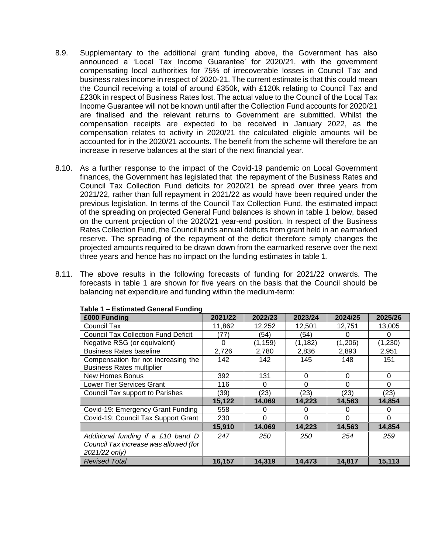- 8.9. Supplementary to the additional grant funding above, the Government has also announced a 'Local Tax Income Guarantee' for 2020/21, with the government compensating local authorities for 75% of irrecoverable losses in Council Tax and business rates income in respect of 2020-21. The current estimate is that this could mean the Council receiving a total of around £350k, with £120k relating to Council Tax and £230k in respect of Business Rates lost. The actual value to the Council of the Local Tax Income Guarantee will not be known until after the Collection Fund accounts for 2020/21 are finalised and the relevant returns to Government are submitted. Whilst the compensation receipts are expected to be received in January 2022, as the compensation relates to activity in 2020/21 the calculated eligible amounts will be accounted for in the 2020/21 accounts. The benefit from the scheme will therefore be an increase in reserve balances at the start of the next financial year.
- 8.10. As a further response to the impact of the Covid-19 pandemic on Local Government finances, the Government has legislated that the repayment of the Business Rates and Council Tax Collection Fund deficits for 2020/21 be spread over three years from 2021/22, rather than full repayment in 2021/22 as would have been required under the previous legislation. In terms of the Council Tax Collection Fund, the estimated impact of the spreading on projected General Fund balances is shown in table 1 below, based on the current projection of the 2020/21 year-end position. In respect of the Business Rates Collection Fund, the Council funds annual deficits from grant held in an earmarked reserve. The spreading of the repayment of the deficit therefore simply changes the projected amounts required to be drawn down from the earmarked reserve over the next three years and hence has no impact on the funding estimates in table 1.
- 8.11. The above results in the following forecasts of funding for 2021/22 onwards. The forecasts in table 1 are shown for five years on the basis that the Council should be balancing net expenditure and funding within the medium-term:

| £000 Funding                               | 2021/22  | 2022/23  | 2023/24  | 2024/25  | 2025/26 |
|--------------------------------------------|----------|----------|----------|----------|---------|
| Council Tax                                | 11,862   | 12,252   | 12,501   | 12,751   | 13,005  |
| <b>Council Tax Collection Fund Deficit</b> | 77)      | (54)     | (54)     |          | 0       |
| Negative RSG (or equivalent)               | $\Omega$ | (1, 159) | (1, 182) | (1,206)  | (1,230) |
| <b>Business Rates baseline</b>             | 2,726    | 2,780    | 2,836    | 2,893    | 2,951   |
| Compensation for not increasing the        | 142      | 142      | 145      | 148      | 151     |
| <b>Business Rates multiplier</b>           |          |          |          |          |         |
| <b>New Homes Bonus</b>                     | 392      | 131      | 0        | $\Omega$ | 0       |
| Lower Tier Services Grant                  | 116      | 0        | 0        | 0        | 0       |
| Council Tax support to Parishes            | (39)     | (23)     | (23)     | (23)     | (23)    |
|                                            | 15,122   | 14,069   | 14,223   | 14,563   | 14,854  |
| Covid-19: Emergency Grant Funding          | 558      | 0        |          |          |         |
| Covid-19: Council Tax Support Grant        | 230      | $\Omega$ | 0        | 0        | 0       |
|                                            | 15,910   | 14,069   | 14,223   | 14,563   | 14,854  |
| Additional funding if a £10 band D         | 247      | 250      | 250      | 254      | 259     |
| Council Tax increase was allowed (for      |          |          |          |          |         |
| 2021/22 only)                              |          |          |          |          |         |
| <b>Revised Total</b>                       | 16,157   | 14,319   | 14,473   | 14,817   | 15,113  |

#### **Table 1 – Estimated General Funding**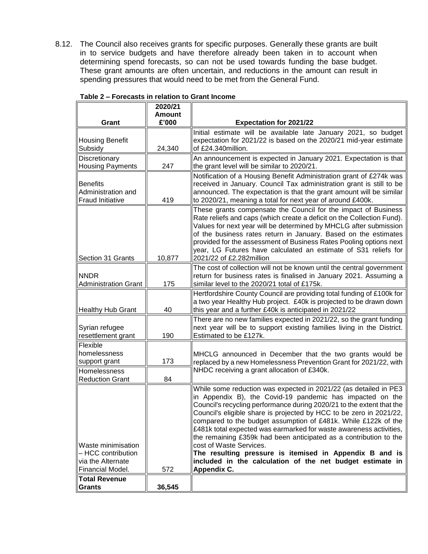8.12. The Council also receives grants for specific purposes. Generally these grants are built in to service budgets and have therefore already been taken in to account when determining spend forecasts, so can not be used towards funding the base budget. These grant amounts are often uncertain, and reductions in the amount can result in spending pressures that would need to be met from the General Fund.

|                                         | 2020/21                |                                                                                                                                             |
|-----------------------------------------|------------------------|---------------------------------------------------------------------------------------------------------------------------------------------|
| Grant                                   | <b>Amount</b><br>£'000 | <b>Expectation for 2021/22</b>                                                                                                              |
|                                         |                        | Initial estimate will be available late January 2021, so budget                                                                             |
| <b>Housing Benefit</b>                  |                        | expectation for 2021/22 is based on the 2020/21 mid-year estimate                                                                           |
| Subsidy                                 | 24,340                 | of £24.340million.                                                                                                                          |
| Discretionary                           |                        | An announcement is expected in January 2021. Expectation is that                                                                            |
| <b>Housing Payments</b>                 | 247                    | the grant level will be similar to 2020/21.                                                                                                 |
| <b>Benefits</b>                         |                        | Notification of a Housing Benefit Administration grant of £274k was<br>received in January. Council Tax administration grant is still to be |
| Administration and                      |                        | announced. The expectation is that the grant amount will be similar                                                                         |
| <b>Fraud Initiative</b>                 | 419                    | to 2020/21, meaning a total for next year of around £400k.                                                                                  |
|                                         |                        | These grants compensate the Council for the impact of Business                                                                              |
|                                         |                        | Rate reliefs and caps (which create a deficit on the Collection Fund).                                                                      |
|                                         |                        | Values for next year will be determined by MHCLG after submission                                                                           |
|                                         |                        | of the business rates return in January. Based on the estimates<br>provided for the assessment of Business Rates Pooling options next       |
|                                         |                        | year, LG Futures have calculated an estimate of S31 reliefs for                                                                             |
| Section 31 Grants                       | 10,877                 | 2021/22 of £2.282million                                                                                                                    |
|                                         |                        | The cost of collection will not be known until the central government                                                                       |
| <b>NNDR</b>                             |                        | return for business rates is finalised in January 2021. Assuming a                                                                          |
| <b>Administration Grant</b>             | 175                    | similar level to the 2020/21 total of £175k.                                                                                                |
|                                         |                        | Hertfordshire County Council are providing total funding of £100k for<br>a two year Healthy Hub project. £40k is projected to be drawn down |
| <b>Healthy Hub Grant</b>                | 40                     | this year and a further £40k is anticipated in 2021/22                                                                                      |
|                                         |                        | There are no new families expected in 2021/22, so the grant funding                                                                         |
| Syrian refugee                          |                        | next year will be to support existing families living in the District.                                                                      |
| resettlement grant                      | 190                    | Estimated to be £127k.                                                                                                                      |
| Flexible<br>homelessness                |                        |                                                                                                                                             |
| support grant                           | 173                    | MHCLG announced in December that the two grants would be<br>replaced by a new Homelessness Prevention Grant for 2021/22, with               |
| Homelessness                            |                        | NHDC receiving a grant allocation of £340k.                                                                                                 |
| <b>Reduction Grant</b>                  | 84                     |                                                                                                                                             |
|                                         |                        | While some reduction was expected in 2021/22 (as detailed in PE3                                                                            |
|                                         |                        | in Appendix B), the Covid-19 pandemic has impacted on the                                                                                   |
|                                         |                        | Council's recycling performance during 2020/21 to the extent that the                                                                       |
|                                         |                        | Council's eligible share is projected by HCC to be zero in 2021/22,<br>compared to the budget assumption of £481k. While £122k of the       |
|                                         |                        | £481k total expected was earmarked for waste awareness activities,                                                                          |
|                                         |                        | the remaining £359k had been anticipated as a contribution to the                                                                           |
| Waste minimisation                      |                        | cost of Waste Services.                                                                                                                     |
| - HCC contribution<br>via the Alternate |                        | The resulting pressure is itemised in Appendix B and is<br>included in the calculation of the net budget estimate in                        |
| Financial Model.                        | 572                    | Appendix C.                                                                                                                                 |
| <b>Total Revenue</b>                    |                        |                                                                                                                                             |
| <b>Grants</b>                           | 36,545                 |                                                                                                                                             |

**Table 2 – Forecasts in relation to Grant Income**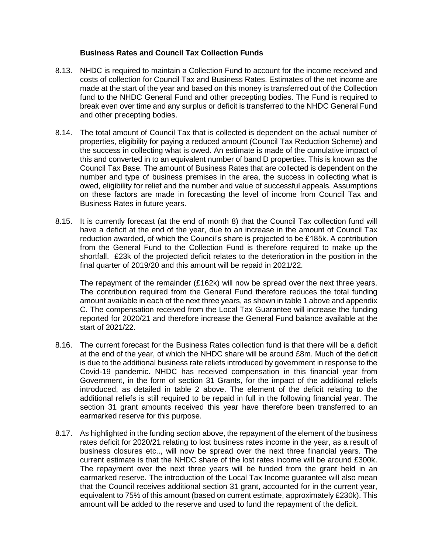### **Business Rates and Council Tax Collection Funds**

- 8.13. NHDC is required to maintain a Collection Fund to account for the income received and costs of collection for Council Tax and Business Rates. Estimates of the net income are made at the start of the year and based on this money is transferred out of the Collection fund to the NHDC General Fund and other precepting bodies. The Fund is required to break even over time and any surplus or deficit is transferred to the NHDC General Fund and other precepting bodies.
- 8.14. The total amount of Council Tax that is collected is dependent on the actual number of properties, eligibility for paying a reduced amount (Council Tax Reduction Scheme) and the success in collecting what is owed. An estimate is made of the cumulative impact of this and converted in to an equivalent number of band D properties. This is known as the Council Tax Base. The amount of Business Rates that are collected is dependent on the number and type of business premises in the area, the success in collecting what is owed, eligibility for relief and the number and value of successful appeals. Assumptions on these factors are made in forecasting the level of income from Council Tax and Business Rates in future years.
- 8.15. It is currently forecast (at the end of month 8) that the Council Tax collection fund will have a deficit at the end of the year, due to an increase in the amount of Council Tax reduction awarded, of which the Council's share is projected to be £185k. A contribution from the General Fund to the Collection Fund is therefore required to make up the shortfall. £23k of the projected deficit relates to the deterioration in the position in the final quarter of 2019/20 and this amount will be repaid in 2021/22.

The repayment of the remainder (£162k) will now be spread over the next three years. The contribution required from the General Fund therefore reduces the total funding amount available in each of the next three years, as shown in table 1 above and appendix C. The compensation received from the Local Tax Guarantee will increase the funding reported for 2020/21 and therefore increase the General Fund balance available at the start of 2021/22.

- 8.16. The current forecast for the Business Rates collection fund is that there will be a deficit at the end of the year, of which the NHDC share will be around £8m. Much of the deficit is due to the additional business rate reliefs introduced by government in response to the Covid-19 pandemic. NHDC has received compensation in this financial year from Government, in the form of section 31 Grants, for the impact of the additional reliefs introduced, as detailed in table 2 above. The element of the deficit relating to the additional reliefs is still required to be repaid in full in the following financial year. The section 31 grant amounts received this year have therefore been transferred to an earmarked reserve for this purpose.
- 8.17. As highlighted in the funding section above, the repayment of the element of the business rates deficit for 2020/21 relating to lost business rates income in the year, as a result of business closures etc.., will now be spread over the next three financial years. The current estimate is that the NHDC share of the lost rates income will be around £300k. The repayment over the next three years will be funded from the grant held in an earmarked reserve. The introduction of the Local Tax Income guarantee will also mean that the Council receives additional section 31 grant, accounted for in the current year, equivalent to 75% of this amount (based on current estimate, approximately £230k). This amount will be added to the reserve and used to fund the repayment of the deficit.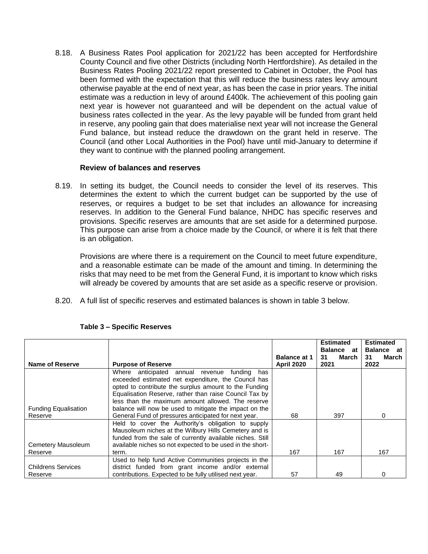8.18. A Business Rates Pool application for 2021/22 has been accepted for Hertfordshire County Council and five other Districts (including North Hertfordshire). As detailed in the Business Rates Pooling 2021/22 report presented to Cabinet in October, the Pool has been formed with the expectation that this will reduce the business rates levy amount otherwise payable at the end of next year, as has been the case in prior years. The initial estimate was a reduction in levy of around £400k. The achievement of this pooling gain next year is however not guaranteed and will be dependent on the actual value of business rates collected in the year. As the levy payable will be funded from grant held in reserve, any pooling gain that does materialise next year will not increase the General Fund balance, but instead reduce the drawdown on the grant held in reserve. The Council (and other Local Authorities in the Pool) have until mid-January to determine if they want to continue with the planned pooling arrangement.

### **Review of balances and reserves**

8.19. In setting its budget, the Council needs to consider the level of its reserves. This determines the extent to which the current budget can be supported by the use of reserves, or requires a budget to be set that includes an allowance for increasing reserves. In addition to the General Fund balance, NHDC has specific reserves and provisions. Specific reserves are amounts that are set aside for a determined purpose. This purpose can arise from a choice made by the Council, or where it is felt that there is an obligation.

Provisions are where there is a requirement on the Council to meet future expenditure, and a reasonable estimate can be made of the amount and timing. In determining the risks that may need to be met from the General Fund, it is important to know which risks will already be covered by amounts that are set aside as a specific reserve or provision.

8.20. A full list of specific reserves and estimated balances is shown in table 3 below.

|                             |                                                           |                     | <b>Estimated</b><br><b>Balance</b> at | <b>Estimated</b><br><b>Balance</b> at |
|-----------------------------|-----------------------------------------------------------|---------------------|---------------------------------------|---------------------------------------|
|                             |                                                           | <b>Balance at 1</b> | March<br>31                           | 31<br>March                           |
| Name of Reserve             | <b>Purpose of Reserve</b>                                 | <b>April 2020</b>   | 2021                                  | 2022                                  |
|                             | Where anticipated annual revenue<br>fundina<br>has        |                     |                                       |                                       |
|                             | exceeded estimated net expenditure, the Council has       |                     |                                       |                                       |
|                             | opted to contribute the surplus amount to the Funding     |                     |                                       |                                       |
|                             | Equalisation Reserve, rather than raise Council Tax by    |                     |                                       |                                       |
|                             | less than the maximum amount allowed. The reserve         |                     |                                       |                                       |
| <b>Funding Equalisation</b> | balance will now be used to mitigate the impact on the    |                     |                                       |                                       |
| Reserve                     | General Fund of pressures anticipated for next year.      | 68                  | 397                                   | 0                                     |
|                             | Held to cover the Authority's obligation to supply        |                     |                                       |                                       |
|                             | Mausoleum niches at the Wilbury Hills Cemetery and is     |                     |                                       |                                       |
|                             | funded from the sale of currently available niches. Still |                     |                                       |                                       |
| Cemetery Mausoleum          | available niches so not expected to be used in the short- |                     |                                       |                                       |
| Reserve                     | term.                                                     | 167                 | 167                                   | 167                                   |
|                             | Used to help fund Active Communities projects in the      |                     |                                       |                                       |
| <b>Childrens Services</b>   | district funded from grant income and/or external         |                     |                                       |                                       |
| Reserve                     | contributions. Expected to be fully utilised next year.   | 57                  | 49                                    | $\Omega$                              |

### **Table 3 – Specific Reserves**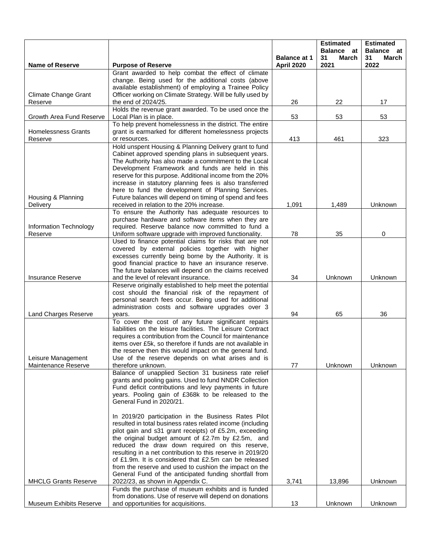|                                |                                                                                                                       |                                   | <b>Estimated</b><br><b>Balance</b> at | <b>Estimated</b><br>Balance at |
|--------------------------------|-----------------------------------------------------------------------------------------------------------------------|-----------------------------------|---------------------------------------|--------------------------------|
| <b>Name of Reserve</b>         | <b>Purpose of Reserve</b>                                                                                             | <b>Balance at 1</b><br>April 2020 | 31<br>March<br>2021                   | 31<br>March<br>2022            |
|                                | Grant awarded to help combat the effect of climate                                                                    |                                   |                                       |                                |
|                                | change. Being used for the additional costs (above<br>available establishment) of employing a Trainee Policy          |                                   |                                       |                                |
| <b>Climate Change Grant</b>    | Officer working on Climate Strategy. Will be fully used by                                                            |                                   |                                       |                                |
| Reserve                        | the end of 2024/25.                                                                                                   | 26                                | 22                                    | 17                             |
|                                | Holds the revenue grant awarded. To be used once the                                                                  |                                   |                                       |                                |
| Growth Area Fund Reserve       | Local Plan is in place.<br>To help prevent homelessness in the district. The entire                                   | 53                                | 53                                    | 53                             |
| <b>Homelessness Grants</b>     | grant is earmarked for different homelessness projects                                                                |                                   |                                       |                                |
| Reserve                        | or resources.                                                                                                         | 413                               | 461                                   | 323                            |
|                                | Hold unspent Housing & Planning Delivery grant to fund                                                                |                                   |                                       |                                |
|                                | Cabinet approved spending plans in subsequent years.<br>The Authority has also made a commitment to the Local         |                                   |                                       |                                |
|                                | Development Framework and funds are held in this                                                                      |                                   |                                       |                                |
|                                | reserve for this purpose. Additional income from the 20%                                                              |                                   |                                       |                                |
|                                | increase in statutory planning fees is also transferred                                                               |                                   |                                       |                                |
| Housing & Planning             | here to fund the development of Planning Services.<br>Future balances will depend on timing of spend and fees         |                                   |                                       |                                |
| Delivery                       | received in relation to the 20% increase.                                                                             | 1,091                             | 1,489                                 | Unknown                        |
|                                | To ensure the Authority has adequate resources to                                                                     |                                   |                                       |                                |
|                                | purchase hardware and software items when they are                                                                    |                                   |                                       |                                |
| Information Technology         | required. Reserve balance now committed to fund a                                                                     |                                   |                                       |                                |
| Reserve                        | Uniform software upgrade with improved functionality.<br>Used to finance potential claims for risks that are not      | 78                                | 35                                    | 0                              |
|                                | covered by external policies together with higher                                                                     |                                   |                                       |                                |
|                                | excesses currently being borne by the Authority. It is                                                                |                                   |                                       |                                |
|                                | good financial practice to have an insurance reserve.                                                                 |                                   |                                       |                                |
| Insurance Reserve              | The future balances will depend on the claims received<br>and the level of relevant insurance.                        | 34                                | Unknown                               | Unknown                        |
|                                | Reserve originally established to help meet the potential                                                             |                                   |                                       |                                |
|                                | cost should the financial risk of the repayment of                                                                    |                                   |                                       |                                |
|                                | personal search fees occur. Being used for additional                                                                 |                                   |                                       |                                |
| Land Charges Reserve           | administration costs and software upgrades over 3<br>years.                                                           | 94                                | 65                                    | 36                             |
|                                | To cover the cost of any future significant repairs                                                                   |                                   |                                       |                                |
|                                | liabilities on the leisure facilities. The Leisure Contract                                                           |                                   |                                       |                                |
|                                | requires a contribution from the Council for maintenance                                                              |                                   |                                       |                                |
|                                | items over £5k, so therefore if funds are not available in<br>the reserve then this would impact on the general fund. |                                   |                                       |                                |
| Leisure Management             | Use of the reserve depends on what arises and is                                                                      |                                   |                                       |                                |
| Maintenance Reserve            | therefore unknown.                                                                                                    | 77                                | Unknown                               | Unknown                        |
|                                | Balance of unapplied Section 31 business rate relief                                                                  |                                   |                                       |                                |
|                                | grants and pooling gains. Used to fund NNDR Collection<br>Fund deficit contributions and levy payments in future      |                                   |                                       |                                |
|                                | years. Pooling gain of £368k to be released to the                                                                    |                                   |                                       |                                |
|                                | General Fund in 2020/21.                                                                                              |                                   |                                       |                                |
|                                | In 2019/20 participation in the Business Rates Pilot                                                                  |                                   |                                       |                                |
|                                | resulted in total business rates related income (including                                                            |                                   |                                       |                                |
|                                | pilot gain and s31 grant receipts) of £5.2m, exceeding                                                                |                                   |                                       |                                |
|                                | the original budget amount of £2.7m by £2.5m, and<br>reduced the draw down required on this reserve,                  |                                   |                                       |                                |
|                                | resulting in a net contribution to this reserve in 2019/20                                                            |                                   |                                       |                                |
|                                | of £1.9m. It is considered that £2.5m can be released                                                                 |                                   |                                       |                                |
|                                | from the reserve and used to cushion the impact on the                                                                |                                   |                                       |                                |
| <b>MHCLG Grants Reserve</b>    | General Fund of the anticipated funding shortfall from<br>2022/23, as shown in Appendix C.                            | 3,741                             | 13,896                                | Unknown                        |
|                                | Funds the purchase of museum exhibits and is funded                                                                   |                                   |                                       |                                |
|                                | from donations. Use of reserve will depend on donations                                                               |                                   |                                       |                                |
| <b>Museum Exhibits Reserve</b> | and opportunities for acquisitions.                                                                                   | 13                                | Unknown                               | Unknown                        |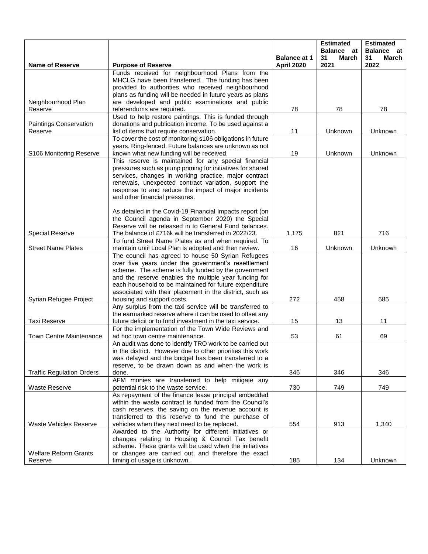|                                  |                                                                                                             |                                   | <b>Estimated</b><br><b>Balance</b> at | <b>Estimated</b><br>Balance at |
|----------------------------------|-------------------------------------------------------------------------------------------------------------|-----------------------------------|---------------------------------------|--------------------------------|
| <b>Name of Reserve</b>           | <b>Purpose of Reserve</b>                                                                                   | <b>Balance at 1</b><br>April 2020 | 31<br>March<br>2021                   | 31<br>March<br>2022            |
|                                  | Funds received for neighbourhood Plans from the                                                             |                                   |                                       |                                |
|                                  | MHCLG have been transferred. The funding has been                                                           |                                   |                                       |                                |
|                                  | provided to authorities who received neighbourhood                                                          |                                   |                                       |                                |
|                                  | plans as funding will be needed in future years as plans                                                    |                                   |                                       |                                |
| Neighbourhood Plan               | are developed and public examinations and public                                                            |                                   |                                       |                                |
| Reserve                          | referendums are required.                                                                                   | 78                                | 78                                    | 78                             |
|                                  | Used to help restore paintings. This is funded through                                                      |                                   |                                       |                                |
| Paintings Conservation           | donations and publication income. To be used against a                                                      |                                   |                                       |                                |
| Reserve                          | list of items that require conservation.                                                                    | 11                                | Unknown                               | Unknown                        |
|                                  | To cover the cost of monitoring s106 obligations in future                                                  |                                   |                                       |                                |
|                                  | years. Ring-fenced. Future balances are unknown as not                                                      |                                   |                                       |                                |
| S106 Monitoring Reserve          | known what new funding will be received.                                                                    | 19                                | Unknown                               | Unknown                        |
|                                  | This reserve is maintained for any special financial                                                        |                                   |                                       |                                |
|                                  | pressures such as pump priming for initiatives for shared                                                   |                                   |                                       |                                |
|                                  | services, changes in working practice, major contract                                                       |                                   |                                       |                                |
|                                  | renewals, unexpected contract variation, support the                                                        |                                   |                                       |                                |
|                                  | response to and reduce the impact of major incidents                                                        |                                   |                                       |                                |
|                                  | and other financial pressures.                                                                              |                                   |                                       |                                |
|                                  | As detailed in the Covid-19 Financial Impacts report (on                                                    |                                   |                                       |                                |
|                                  | the Council agenda in September 2020) the Special                                                           |                                   |                                       |                                |
|                                  | Reserve will be released in to General Fund balances.                                                       |                                   |                                       |                                |
| <b>Special Reserve</b>           | The balance of £716k will be transferred in 2022/23.                                                        | 1,175                             | 821                                   | 716                            |
|                                  | To fund Street Name Plates as and when required. To                                                         |                                   |                                       |                                |
| <b>Street Name Plates</b>        | maintain until Local Plan is adopted and then review.                                                       | 16                                | Unknown                               | Unknown                        |
|                                  | The council has agreed to house 50 Syrian Refugees                                                          |                                   |                                       |                                |
|                                  | over five years under the government's resettlement                                                         |                                   |                                       |                                |
|                                  | scheme. The scheme is fully funded by the government                                                        |                                   |                                       |                                |
|                                  | and the reserve enables the multiple year funding for                                                       |                                   |                                       |                                |
|                                  | each household to be maintained for future expenditure                                                      |                                   |                                       |                                |
|                                  | associated with their placement in the district, such as                                                    |                                   |                                       |                                |
| Syrian Refugee Project           | housing and support costs.                                                                                  | 272                               | 458                                   | 585                            |
|                                  | Any surplus from the taxi service will be transferred to                                                    |                                   |                                       |                                |
|                                  | the earmarked reserve where it can be used to offset any                                                    |                                   |                                       |                                |
| <b>Taxi Reserve</b>              | future deficit or to fund investment in the taxi service.                                                   | 15                                | 13                                    | 11                             |
|                                  | For the implementation of the Town Wide Reviews and                                                         |                                   |                                       |                                |
| <b>Town Centre Maintenance</b>   | ad hoc town centre maintenance.                                                                             | 53                                | 61                                    | 69                             |
|                                  | An audit was done to identify TRO work to be carried out                                                    |                                   |                                       |                                |
|                                  | in the district. However due to other priorities this work                                                  |                                   |                                       |                                |
|                                  | was delayed and the budget has been transferred to a                                                        |                                   |                                       |                                |
|                                  | reserve, to be drawn down as and when the work is                                                           |                                   |                                       |                                |
| <b>Traffic Regulation Orders</b> | done.                                                                                                       | 346                               | 346                                   | 346                            |
|                                  | AFM monies are transferred to help mitigate any                                                             |                                   |                                       |                                |
| Waste Reserve                    | potential risk to the waste service.                                                                        | 730                               | 749                                   | 749                            |
|                                  | As repayment of the finance lease principal embedded                                                        |                                   |                                       |                                |
|                                  | within the waste contract is funded from the Council's                                                      |                                   |                                       |                                |
|                                  | cash reserves, the saving on the revenue account is                                                         |                                   |                                       |                                |
|                                  | transferred to this reserve to fund the purchase of                                                         |                                   |                                       |                                |
| <b>Waste Vehicles Reserve</b>    | vehicles when they next need to be replaced.                                                                | 554                               | 913                                   | 1,340                          |
|                                  | Awarded to the Authority for different initiatives or                                                       |                                   |                                       |                                |
|                                  | changes relating to Housing & Council Tax benefit<br>scheme. These grants will be used when the initiatives |                                   |                                       |                                |
| <b>Welfare Reform Grants</b>     | or changes are carried out, and therefore the exact                                                         |                                   |                                       |                                |
| Reserve                          | timing of usage is unknown.                                                                                 | 185                               | 134                                   | Unknown                        |
|                                  |                                                                                                             |                                   |                                       |                                |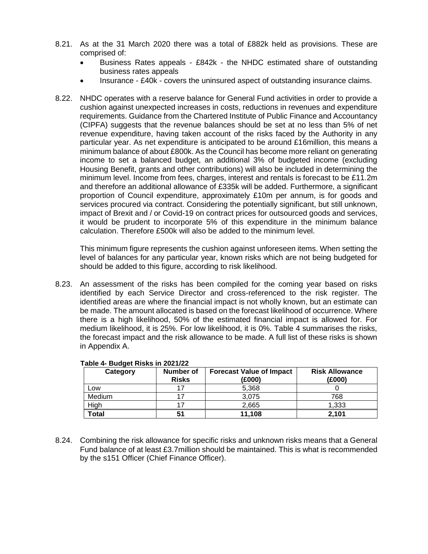- 8.21. As at the 31 March 2020 there was a total of £882k held as provisions. These are comprised of:
	- Business Rates appeals £842k the NHDC estimated share of outstanding business rates appeals
	- Insurance £40k covers the uninsured aspect of outstanding insurance claims.
- 8.22. NHDC operates with a reserve balance for General Fund activities in order to provide a cushion against unexpected increases in costs, reductions in revenues and expenditure requirements. Guidance from the Chartered Institute of Public Finance and Accountancy (CIPFA) suggests that the revenue balances should be set at no less than 5% of net revenue expenditure, having taken account of the risks faced by the Authority in any particular year. As net expenditure is anticipated to be around £16million, this means a minimum balance of about £800k. As the Council has become more reliant on generating income to set a balanced budget, an additional 3% of budgeted income (excluding Housing Benefit, grants and other contributions) will also be included in determining the minimum level. Income from fees, charges, interest and rentals is forecast to be £11.2m and therefore an additional allowance of £335k will be added. Furthermore, a significant proportion of Council expenditure, approximately £10m per annum, is for goods and services procured via contract. Considering the potentially significant, but still unknown, impact of Brexit and / or Covid-19 on contract prices for outsourced goods and services, it would be prudent to incorporate 5% of this expenditure in the minimum balance calculation. Therefore £500k will also be added to the minimum level.

This minimum figure represents the cushion against unforeseen items. When setting the level of balances for any particular year, known risks which are not being budgeted for should be added to this figure, according to risk likelihood.

8.23. An assessment of the risks has been compiled for the coming year based on risks identified by each Service Director and cross-referenced to the risk register. The identified areas are where the financial impact is not wholly known, but an estimate can be made. The amount allocated is based on the forecast likelihood of occurrence. Where there is a high likelihood, 50% of the estimated financial impact is allowed for. For medium likelihood, it is 25%. For low likelihood, it is 0%. Table 4 summarises the risks, the forecast impact and the risk allowance to be made. A full list of these risks is shown in Appendix A.

| Category | Number of<br><b>Risks</b> | <b>Forecast Value of Impact</b><br>(£000) | <b>Risk Allowance</b><br>(£000) |
|----------|---------------------------|-------------------------------------------|---------------------------------|
| Low      |                           | 5,368                                     |                                 |
| Medium   |                           | 3,075                                     | 768                             |
| High     |                           | 2,665                                     | 1,333                           |
| Total    | 51                        | 11,108                                    | 2,101                           |

### **Table 4- Budget Risks in 2021/22**

8.24. Combining the risk allowance for specific risks and unknown risks means that a General Fund balance of at least £3.7million should be maintained. This is what is recommended by the s151 Officer (Chief Finance Officer).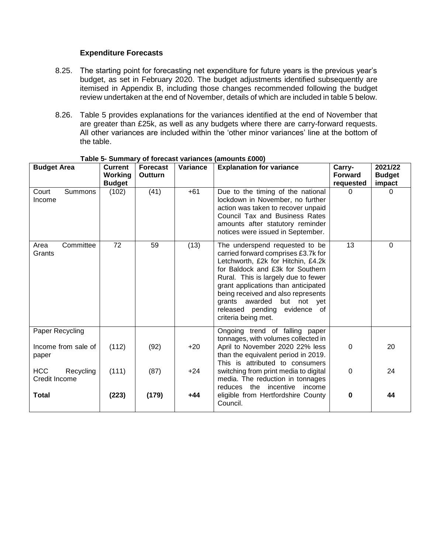### **Expenditure Forecasts**

- 8.25. The starting point for forecasting net expenditure for future years is the previous year's budget, as set in February 2020. The budget adjustments identified subsequently are itemised in Appendix B, including those changes recommended following the budget review undertaken at the end of November, details of which are included in table 5 below.
- 8.26. Table 5 provides explanations for the variances identified at the end of November that are greater than £25k, as well as any budgets where there are carry-forward requests. All other variances are included within the 'other minor variances' line at the bottom of the table.

| <b>Budget Area</b>                       | <b>Current</b>           | <b>Forecast</b> | Variance | <b>Explanation for variance</b>                                                                                                                                                                                                                                                                                                                             | Carry-                      | 2021/22                 |
|------------------------------------------|--------------------------|-----------------|----------|-------------------------------------------------------------------------------------------------------------------------------------------------------------------------------------------------------------------------------------------------------------------------------------------------------------------------------------------------------------|-----------------------------|-------------------------|
|                                          | Working<br><b>Budget</b> | <b>Outturn</b>  |          |                                                                                                                                                                                                                                                                                                                                                             | <b>Forward</b><br>requested | <b>Budget</b><br>impact |
| Court<br><b>Summons</b><br>Income        | (102)                    | (41)            | $+61$    | Due to the timing of the national<br>lockdown in November, no further<br>action was taken to recover unpaid<br>Council Tax and Business Rates<br>amounts after statutory reminder<br>notices were issued in September.                                                                                                                                      | 0                           | $\Omega$                |
| Committee<br>Area<br>Grants              | 72                       | 59              | (13)     | The underspend requested to be<br>carried forward comprises £3.7k for<br>Letchworth, £2k for Hitchin, £4.2k<br>for Baldock and £3k for Southern<br>Rural. This is largely due to fewer<br>grant applications than anticipated<br>being received and also represents<br>grants awarded but not yet<br>released pending<br>evidence of<br>criteria being met. | 13                          | $\mathbf 0$             |
| Paper Recycling                          |                          |                 |          | Ongoing trend of falling paper<br>tonnages, with volumes collected in                                                                                                                                                                                                                                                                                       |                             |                         |
| Income from sale of<br>paper             | (112)                    | (92)            | $+20$    | April to November 2020 22% less<br>than the equivalent period in 2019.<br>This is attributed to consumers                                                                                                                                                                                                                                                   | 0                           | 20                      |
| <b>HCC</b><br>Recycling<br>Credit Income | (111)                    | (87)            | $+24$    | switching from print media to digital<br>media. The reduction in tonnages<br>reduces the<br>incentive<br>income                                                                                                                                                                                                                                             | 0                           | 24                      |
| <b>Total</b>                             | (223)                    | (179)           | $+44$    | eligible from Hertfordshire County<br>Council.                                                                                                                                                                                                                                                                                                              | $\mathbf 0$                 | 44                      |

#### **Table 5- Summary of forecast variances (amounts £000)**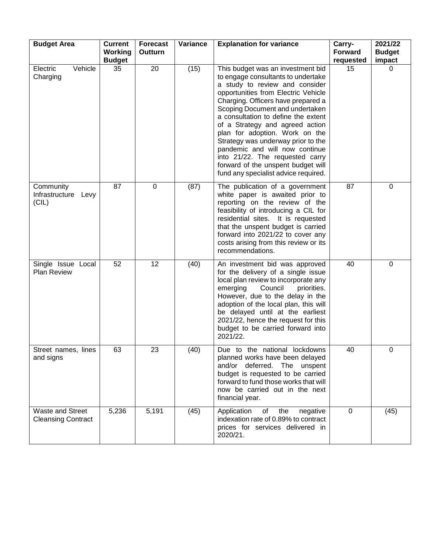| <b>Budget Area</b>                                   | <b>Current</b><br>Working<br><b>Budget</b> | <b>Forecast</b><br>Outturn | Variance | <b>Explanation for variance</b>                                                                                                                                                                                                                                                                                                                                                                                                                                                                                                | Carry-<br><b>Forward</b><br>requested | 2021/22<br><b>Budget</b><br>impact |
|------------------------------------------------------|--------------------------------------------|----------------------------|----------|--------------------------------------------------------------------------------------------------------------------------------------------------------------------------------------------------------------------------------------------------------------------------------------------------------------------------------------------------------------------------------------------------------------------------------------------------------------------------------------------------------------------------------|---------------------------------------|------------------------------------|
| Vehicle<br>Electric<br>Charging                      | 35                                         | 20                         | (15)     | This budget was an investment bid<br>to engage consultants to undertake<br>a study to review and consider<br>opportunities from Electric Vehicle<br>Charging. Officers have prepared a<br>Scoping Document and undertaken<br>a consultation to define the extent<br>of a Strategy and agreed action<br>plan for adoption. Work on the<br>Strategy was underway prior to the<br>pandemic and will now continue<br>into 21/22. The requested carry<br>forward of the unspent budget will<br>fund any specialist advice required. | 15                                    | 0                                  |
| Community<br>Infrastructure Levy<br>(CIL)            | 87                                         | $\mathbf 0$                | (87)     | The publication of a government<br>white paper is awaited prior to<br>reporting on the review of the<br>feasibility of introducing a CIL for<br>residential sites. It is requested<br>that the unspent budget is carried<br>forward into 2021/22 to cover any<br>costs arising from this review or its<br>recommendations.                                                                                                                                                                                                     | 87                                    | 0                                  |
| Single Issue Local<br><b>Plan Review</b>             | 52                                         | 12                         | (40)     | An investment bid was approved<br>for the delivery of a single issue<br>local plan review to incorporate any<br>Council<br>emerging<br>priorities.<br>However, due to the delay in the<br>adoption of the local plan, this will<br>be delayed until at the earliest<br>2021/22, hence the request for this<br>budget to be carried forward into<br>2021/22.                                                                                                                                                                    | 40                                    | 0                                  |
| Street names, lines<br>and signs                     | 63                                         | 23                         | (40)     | Due to the national lockdowns<br>planned works have been delayed<br>and/or deferred. The unspent<br>budget is requested to be carried<br>forward to fund those works that will<br>now be carried out in the next<br>financial year.                                                                                                                                                                                                                                                                                            | 40                                    | 0                                  |
| <b>Waste and Street</b><br><b>Cleansing Contract</b> | 5,236                                      | 5,191                      | (45)     | Application<br>the<br>of<br>negative<br>indexation rate of 0.89% to contract<br>prices for services delivered in<br>2020/21.                                                                                                                                                                                                                                                                                                                                                                                                   | $\mathbf 0$                           | (45)                               |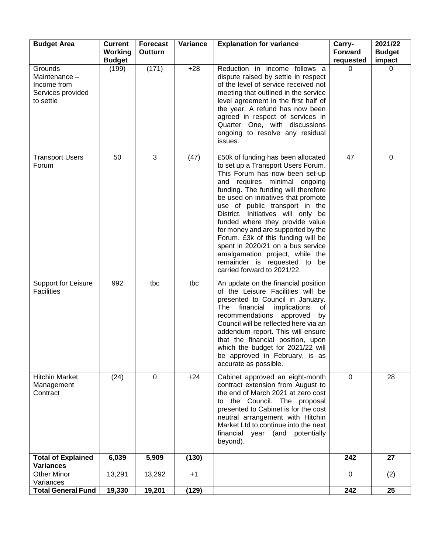| <b>Budget Area</b>                                                        | <b>Current</b><br>Working<br><b>Budget</b> | <b>Forecast</b><br>Outturn | Variance | <b>Explanation for variance</b>                                                                                                                                                                                                                                                                                                                                                                                                                                                                                                                        | Carry-<br><b>Forward</b><br>requested | 2021/22<br><b>Budget</b><br>impact |
|---------------------------------------------------------------------------|--------------------------------------------|----------------------------|----------|--------------------------------------------------------------------------------------------------------------------------------------------------------------------------------------------------------------------------------------------------------------------------------------------------------------------------------------------------------------------------------------------------------------------------------------------------------------------------------------------------------------------------------------------------------|---------------------------------------|------------------------------------|
| Grounds<br>Maintenance -<br>Income from<br>Services provided<br>to settle | (199)                                      | (171)                      | $+28$    | Reduction in income follows a<br>dispute raised by settle in respect<br>of the level of service received not<br>meeting that outlined in the service<br>level agreement in the first half of<br>the year. A refund has now been<br>agreed in respect of services in<br>Quarter One, with discussions<br>ongoing to resolve any residual<br>issues.                                                                                                                                                                                                     | 0                                     | 0                                  |
| <b>Transport Users</b><br>Forum                                           | 50                                         | 3                          | (47)     | £50k of funding has been allocated<br>to set up a Transport Users Forum.<br>This Forum has now been set-up<br>and requires minimal ongoing<br>funding. The funding will therefore<br>be used on initiatives that promote<br>use of public transport in the<br>District. Initiatives will only be<br>funded where they provide value<br>for money and are supported by the<br>Forum. £3k of this funding will be<br>spent in 2020/21 on a bus service<br>amalgamation project, while the<br>remainder is requested to be<br>carried forward to 2021/22. | 47                                    | 0                                  |
| <b>Support for Leisure</b><br><b>Facilities</b>                           | 992                                        | tbc                        | tbc      | An update on the financial position<br>of the Leisure Facilities will be<br>presented to Council in January.<br>financial<br>implications<br>The<br>οf<br>recommendations<br>approved<br>by<br>Council will be reflected here via an<br>addendum report. This will ensure<br>that the financial position, upon<br>which the budget for 2021/22 will<br>be approved in February, is as<br>accurate as possible.                                                                                                                                         |                                       |                                    |
| <b>Hitchin Market</b><br>Management<br>Contract                           | (24)                                       | $\mathbf 0$                | $+24$    | Cabinet approved an eight-month<br>contract extension from August to<br>the end of March 2021 at zero cost<br>to the Council. The proposal<br>presented to Cabinet is for the cost<br>neutral arrangement with Hitchin<br>Market Ltd to continue into the next<br>financial year (and potentially<br>beyond).                                                                                                                                                                                                                                          | $\mathbf 0$                           | 28                                 |
| <b>Total of Explained</b><br><b>Variances</b>                             | 6,039                                      | 5,909                      | (130)    |                                                                                                                                                                                                                                                                                                                                                                                                                                                                                                                                                        | 242                                   | 27                                 |
| <b>Other Minor</b><br>Variances                                           | 13,291                                     | 13,292                     | $+1$     |                                                                                                                                                                                                                                                                                                                                                                                                                                                                                                                                                        | $\mathbf 0$                           | (2)                                |
| <b>Total General Fund</b>                                                 | 19,330                                     | 19,201                     | (129)    |                                                                                                                                                                                                                                                                                                                                                                                                                                                                                                                                                        | $\overline{242}$                      | $\overline{25}$                    |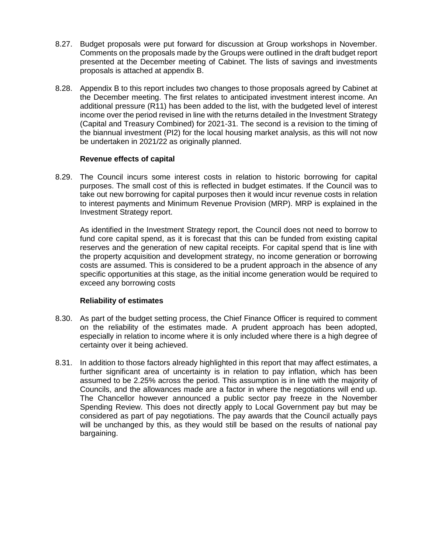- 8.27. Budget proposals were put forward for discussion at Group workshops in November. Comments on the proposals made by the Groups were outlined in the draft budget report presented at the December meeting of Cabinet. The lists of savings and investments proposals is attached at appendix B.
- 8.28. Appendix B to this report includes two changes to those proposals agreed by Cabinet at the December meeting. The first relates to anticipated investment interest income. An additional pressure (R11) has been added to the list, with the budgeted level of interest income over the period revised in line with the returns detailed in the Investment Strategy (Capital and Treasury Combined) for 2021-31. The second is a revision to the timing of the biannual investment (PI2) for the local housing market analysis, as this will not now be undertaken in 2021/22 as originally planned.

### **Revenue effects of capital**

8.29. The Council incurs some interest costs in relation to historic borrowing for capital purposes. The small cost of this is reflected in budget estimates. If the Council was to take out new borrowing for capital purposes then it would incur revenue costs in relation to interest payments and Minimum Revenue Provision (MRP). MRP is explained in the Investment Strategy report.

As identified in the Investment Strategy report, the Council does not need to borrow to fund core capital spend, as it is forecast that this can be funded from existing capital reserves and the generation of new capital receipts. For capital spend that is line with the property acquisition and development strategy, no income generation or borrowing costs are assumed. This is considered to be a prudent approach in the absence of any specific opportunities at this stage, as the initial income generation would be required to exceed any borrowing costs

### **Reliability of estimates**

- 8.30. As part of the budget setting process, the Chief Finance Officer is required to comment on the reliability of the estimates made. A prudent approach has been adopted, especially in relation to income where it is only included where there is a high degree of certainty over it being achieved.
- 8.31. In addition to those factors already highlighted in this report that may affect estimates, a further significant area of uncertainty is in relation to pay inflation, which has been assumed to be 2.25% across the period. This assumption is in line with the majority of Councils, and the allowances made are a factor in where the negotiations will end up. The Chancellor however announced a public sector pay freeze in the November Spending Review. This does not directly apply to Local Government pay but may be considered as part of pay negotiations. The pay awards that the Council actually pays will be unchanged by this, as they would still be based on the results of national pay bargaining.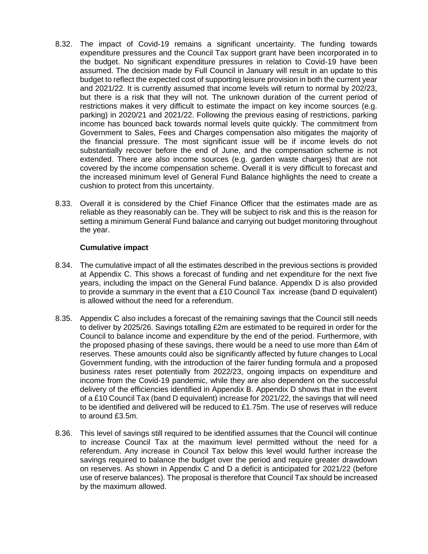- 8.32. The impact of Covid-19 remains a significant uncertainty. The funding towards expenditure pressures and the Council Tax support grant have been incorporated in to the budget. No significant expenditure pressures in relation to Covid-19 have been assumed. The decision made by Full Council in January will result in an update to this budget to reflect the expected cost of supporting leisure provision in both the current year and 2021/22. It is currently assumed that income levels will return to normal by 202/23, but there is a risk that they will not. The unknown duration of the current period of restrictions makes it very difficult to estimate the impact on key income sources (e.g. parking) in 2020/21 and 2021/22. Following the previous easing of restrictions, parking income has bounced back towards normal levels quite quickly. The commitment from Government to Sales, Fees and Charges compensation also mitigates the majority of the financial pressure. The most significant issue will be if income levels do not substantially recover before the end of June, and the compensation scheme is not extended. There are also income sources (e.g. garden waste charges) that are not covered by the income compensation scheme. Overall it is very difficult to forecast and the increased minimum level of General Fund Balance highlights the need to create a cushion to protect from this uncertainty.
- 8.33. Overall it is considered by the Chief Finance Officer that the estimates made are as reliable as they reasonably can be. They will be subject to risk and this is the reason for setting a minimum General Fund balance and carrying out budget monitoring throughout the year.

### **Cumulative impact**

- 8.34. The cumulative impact of all the estimates described in the previous sections is provided at Appendix C. This shows a forecast of funding and net expenditure for the next five years, including the impact on the General Fund balance. Appendix D is also provided to provide a summary in the event that a £10 Council Tax increase (band D equivalent) is allowed without the need for a referendum.
- 8.35. Appendix C also includes a forecast of the remaining savings that the Council still needs to deliver by 2025/26. Savings totalling £2m are estimated to be required in order for the Council to balance income and expenditure by the end of the period. Furthermore, with the proposed phasing of these savings, there would be a need to use more than £4m of reserves. These amounts could also be significantly affected by future changes to Local Government funding, with the introduction of the fairer funding formula and a proposed business rates reset potentially from 2022/23, ongoing impacts on expenditure and income from the Covid-19 pandemic, while they are also dependent on the successful delivery of the efficiencies identified in Appendix B. Appendix D shows that in the event of a £10 Council Tax (band D equivalent) increase for 2021/22, the savings that will need to be identified and delivered will be reduced to  $£1.75m$ . The use of reserves will reduce to around £3.5m.
- 8.36. This level of savings still required to be identified assumes that the Council will continue to increase Council Tax at the maximum level permitted without the need for a referendum. Any increase in Council Tax below this level would further increase the savings required to balance the budget over the period and require greater drawdown on reserves. As shown in Appendix C and D a deficit is anticipated for 2021/22 (before use of reserve balances). The proposal is therefore that Council Tax should be increased by the maximum allowed.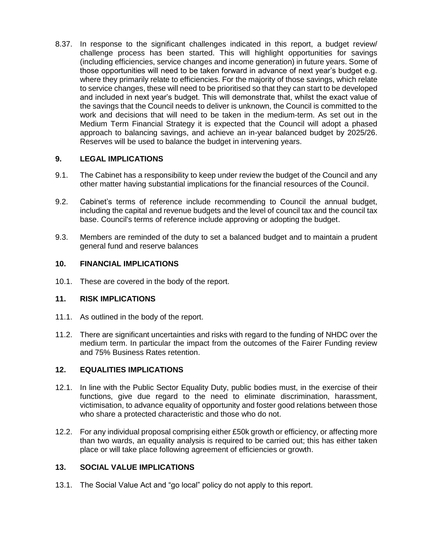8.37. In response to the significant challenges indicated in this report, a budget review/ challenge process has been started. This will highlight opportunities for savings (including efficiencies, service changes and income generation) in future years. Some of those opportunities will need to be taken forward in advance of next year's budget e.g. where they primarily relate to efficiencies. For the majority of those savings, which relate to service changes, these will need to be prioritised so that they can start to be developed and included in next year's budget. This will demonstrate that, whilst the exact value of the savings that the Council needs to deliver is unknown, the Council is committed to the work and decisions that will need to be taken in the medium-term. As set out in the Medium Term Financial Strategy it is expected that the Council will adopt a phased approach to balancing savings, and achieve an in-year balanced budget by 2025/26. Reserves will be used to balance the budget in intervening years.

# **9. LEGAL IMPLICATIONS**

- 9.1. The Cabinet has a responsibility to keep under review the budget of the Council and any other matter having substantial implications for the financial resources of the Council.
- 9.2. Cabinet's terms of reference include recommending to Council the annual budget, including the capital and revenue budgets and the level of council tax and the council tax base. Council's terms of reference include approving or adopting the budget.
- 9.3. Members are reminded of the duty to set a balanced budget and to maintain a prudent general fund and reserve balances

# **10. FINANCIAL IMPLICATIONS**

10.1. These are covered in the body of the report.

### **11. RISK IMPLICATIONS**

- 11.1. As outlined in the body of the report.
- 11.2. There are significant uncertainties and risks with regard to the funding of NHDC over the medium term. In particular the impact from the outcomes of the Fairer Funding review and 75% Business Rates retention.

# **12. EQUALITIES IMPLICATIONS**

- 12.1. In line with the Public Sector Equality Duty, public bodies must, in the exercise of their functions, give due regard to the need to eliminate discrimination, harassment, victimisation, to advance equality of opportunity and foster good relations between those who share a protected characteristic and those who do not.
- 12.2. For any individual proposal comprising either £50k growth or efficiency, or affecting more than two wards, an equality analysis is required to be carried out; this has either taken place or will take place following agreement of efficiencies or growth.

### **13. SOCIAL VALUE IMPLICATIONS**

13.1. The Social Value Act and "go local" policy do not apply to this report.